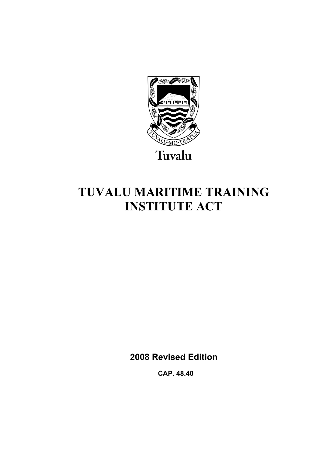

# **TUVALU MARITIME TRAINING INSTITUTE ACT**

**2008 Revised Edition** 

 **CAP. 48.40**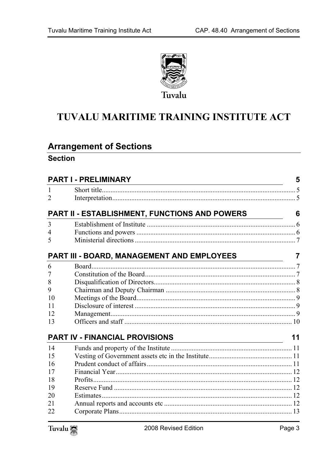

## TUVALU MARITIME TRAINING INSTITUTE ACT

## **Arrangement of Sections**

#### **Section**

| <b>PART I - PRELIMINARY</b><br>the control of the control of the control of the control of the control of the control of the control of the control of the control of the control of the control of the control of the control of the control of the control |                                               |    |
|--------------------------------------------------------------------------------------------------------------------------------------------------------------------------------------------------------------------------------------------------------------|-----------------------------------------------|----|
| 1                                                                                                                                                                                                                                                            |                                               |    |
| 2                                                                                                                                                                                                                                                            |                                               |    |
|                                                                                                                                                                                                                                                              | PART II - ESTABLISHMENT, FUNCTIONS AND POWERS | 6  |
| 3                                                                                                                                                                                                                                                            |                                               |    |
| 4                                                                                                                                                                                                                                                            |                                               |    |
| 5                                                                                                                                                                                                                                                            |                                               |    |
|                                                                                                                                                                                                                                                              | PART III - BOARD, MANAGEMENT AND EMPLOYEES    | 7  |
| 6                                                                                                                                                                                                                                                            | Board.                                        |    |
| 7                                                                                                                                                                                                                                                            |                                               |    |
| 8                                                                                                                                                                                                                                                            |                                               |    |
| 9                                                                                                                                                                                                                                                            |                                               |    |
| 10                                                                                                                                                                                                                                                           |                                               |    |
| 11                                                                                                                                                                                                                                                           |                                               |    |
| 12                                                                                                                                                                                                                                                           |                                               |    |
| 13                                                                                                                                                                                                                                                           |                                               |    |
|                                                                                                                                                                                                                                                              | <b>PART IV - FINANCIAL PROVISIONS</b>         | 11 |
| 14                                                                                                                                                                                                                                                           |                                               |    |
| 15                                                                                                                                                                                                                                                           |                                               |    |
| 16                                                                                                                                                                                                                                                           |                                               |    |
| 17                                                                                                                                                                                                                                                           |                                               |    |
| 18                                                                                                                                                                                                                                                           |                                               |    |
| 19                                                                                                                                                                                                                                                           |                                               |    |
| 20                                                                                                                                                                                                                                                           |                                               |    |
| 21                                                                                                                                                                                                                                                           |                                               |    |
| 22                                                                                                                                                                                                                                                           |                                               |    |

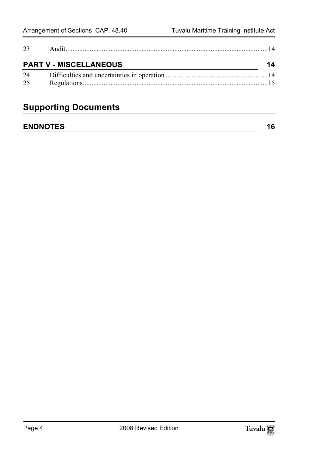| 23 |                               |    |
|----|-------------------------------|----|
|    | <b>PART V - MISCELLANEOUS</b> | 14 |
| 24 |                               |    |
| 25 |                               |    |

## **Supporting Documents**

### **ENDNOTES** 16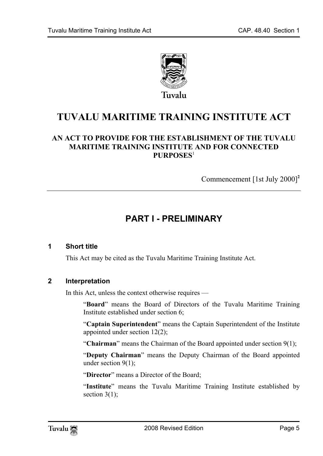

**TUVALU MARITIME TRAINING INS[TI](#page-15-1)TUTE ACT** 

#### **AN ACT TO PROVIDE FOR THE ESTABLISHMENT OF THE TUVALU MARITIME TRAINING INSTITUTE AND FOR CONNECTED PURPOSES**<sup>1</sup>

<span id="page-4-0"></span>Commencement [1st July 2000]**<sup>2</sup>**

## <span id="page-4-1"></span>**PART I - PRELIMINARY**

#### **1 Short title**

This Act may be cited as the Tuvalu Maritime Training Institute Act.

#### **2 Interpretation**

In this Act, unless the context otherwise requires —

"**Board**" means the Board of Directors of the Tuvalu Maritime Training Institute established under section 6;

"**Captain Superintendent**" means the Captain Superintendent of the Institute appointed under section 12(2);

"**Chairman**" means the Chairman of the Board appointed under section 9(1);

"**Deputy Chairman**" means the Deputy Chairman of the Board appointed under section 9(1);

"**Director**" means a Director of the Board;

"**Institute**" means the Tuvalu Maritime Training Institute established by section  $3(1)$ ;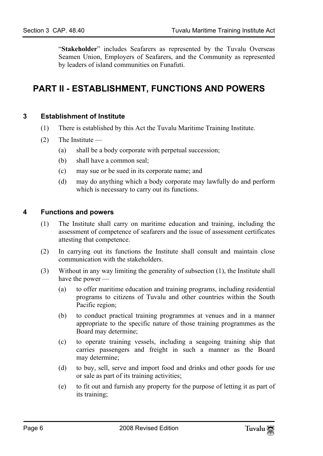<span id="page-5-1"></span><span id="page-5-0"></span>"**Stakeholder**" includes Seafarers as represented by the Tuvalu Overseas Seamen Union, Employers of Seafarers, and the Community as represented by leaders of island communities on Funafuti.

## **PART II - ESTABLISHMENT, FUNCTIONS AND POWERS**

#### **3 Establishment of Institute**

- (1) There is established by this Act the Tuvalu Maritime Training Institute.
- <span id="page-5-2"></span> $(2)$  The Institute —
	- (a) shall be a body corporate with perpetual succession;
	- (b) shall have a common seal;
	- (c) may sue or be sued in its corporate name; and
	- (d) may do anything which a body corporate may lawfully do and perform which is necessary to carry out its functions.

#### **4 Functions and powers**

- (1) The Institute shall carry on maritime education and training, including the assessment of competence of seafarers and the issue of assessment certificates attesting that competence.
- (2) In carrying out its functions the Institute shall consult and maintain close communication with the stakeholders.
- (3) Without in any way limiting the generality of subsection (1), the Institute shall have the power —
	- (a) to offer maritime education and training programs, including residential programs to citizens of Tuvalu and other countries within the South Pacific region;
	- (b) to conduct practical training programmes at venues and in a manner appropriate to the specific nature of those training programmes as the Board may determine;
	- (c) to operate training vessels, including a seagoing training ship that carries passengers and freight in such a manner as the Board may determine;
	- (d) to buy, sell, serve and import food and drinks and other goods for use or sale as part of its training activities;
	- (e) to fit out and furnish any property for the purpose of letting it as part of its training;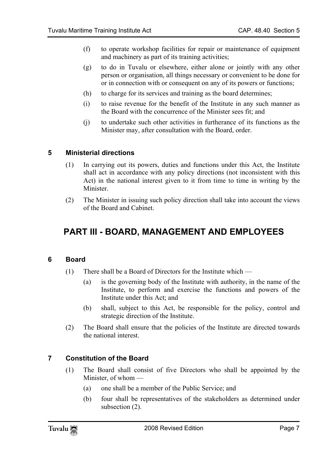- (f) to operate workshop facilities for repair or maintenance of equipment and machinery as part of its training activities;
- (g) to do in Tuvalu or elsewhere, either alone or jointly with any other person or organisation, all things necessary or convenient to be done for or in connection with or consequent on any of its powers or functions;
- (h) to charge for its services and training as the board determines;
- <span id="page-6-0"></span>(i) to raise revenue for the benefit of the Institute in any such manner as the Board with the concurrence of the Minister sees fit; and
- (j) to undertake such other activities in furtherance of its functions as the Minister may, after consultation with the Board, order.

#### **5 Ministerial directions**

- (1) In carrying out its powers, duties and functions under this Act, the Institute shall act in accordance with any policy directions (not inconsistent with this Act) in the national interest given to it from time to time in writing by the Minister.
- <span id="page-6-1"></span>(2) The Minister in issuing such policy direction shall take into account the views of the Board and Cabinet.

### <span id="page-6-2"></span>**PART III - BOARD, MANAGEMENT AND EMPLOYEES**

#### **6 Board**

- (1) There shall be a Board of Directors for the Institute which
	- (a) is the governing body of the Institute with authority, in the name of the Institute, to perform and exercise the functions and powers of the Institute under this Act; and
	- (b) shall, subject to this Act, be responsible for the policy, control and strategic direction of the Institute.
- <span id="page-6-3"></span>(2) The Board shall ensure that the policies of the Institute are directed towards the national interest.

#### **7 Constitution of the Board**

- (1) The Board shall consist of five Directors who shall be appointed by the Minister, of whom —
	- (a) one shall be a member of the Public Service; and
	- (b) four shall be representatives of the stakeholders as determined under subsection (2).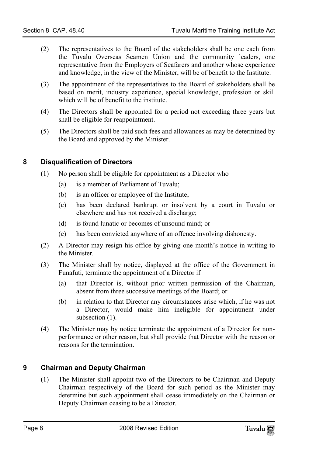- (2) The representatives to the Board of the stakeholders shall be one each from the Tuvalu Overseas Seamen Union and the community leaders, one representative from the Employers of Seafarers and another whose experience and knowledge, in the view of the Minister, will be of benefit to the Institute.
- (3) The appointment of the representatives to the Board of stakeholders shall be based on merit, industry experience, special knowledge, profession or skill which will be of benefit to the institute.
- <span id="page-7-0"></span>(4) The Directors shall be appointed for a period not exceeding three years but shall be eligible for reappointment.
- (5) The Directors shall be paid such fees and allowances as may be determined by the Board and approved by the Minister.

#### **8 Disqualification of Directors**

- (1) No person shall be eligible for appointment as a Director who
	- (a) is a member of Parliament of Tuvalu;
	- (b) is an officer or employee of the Institute;
	- (c) has been declared bankrupt or insolvent by a court in Tuvalu or elsewhere and has not received a discharge;
	- (d) is found lunatic or becomes of unsound mind; or
	- (e) has been convicted anywhere of an offence involving dishonesty.
- (2) A Director may resign his office by giving one month's notice in writing to the Minister.
- (3) The Minister shall by notice, displayed at the office of the Government in Funafuti, terminate the appointment of a Director if —
	- (a) that Director is, without prior written permission of the Chairman, absent from three successive meetings of the Board; or
	- (b) in relation to that Director any circumstances arise which, if he was not a Director, would make him ineligible for appointment under subsection  $(1)$ .
- <span id="page-7-1"></span>(4) The Minister may by notice terminate the appointment of a Director for nonperformance or other reason, but shall provide that Director with the reason or reasons for the termination.

#### **9 Chairman and Deputy Chairman**

(1) The Minister shall appoint two of the Directors to be Chairman and Deputy Chairman respectively of the Board for such period as the Minister may determine but such appointment shall cease immediately on the Chairman or Deputy Chairman ceasing to be a Director.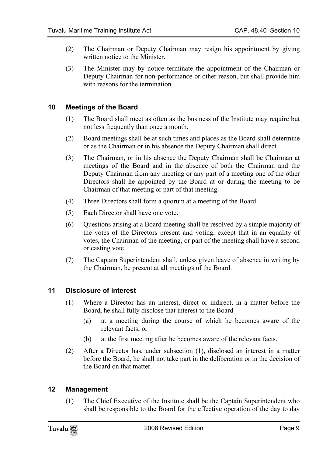- (2) The Chairman or Deputy Chairman may resign his appointment by giving written notice to the Minister.
- <span id="page-8-0"></span>(3) The Minister may by notice terminate the appointment of the Chairman or Deputy Chairman for non-performance or other reason, but shall provide him with reasons for the termination

#### **10 Meetings of the Board**

- (1) The Board shall meet as often as the business of the Institute may require but not less frequently than once a month.
- (2) Board meetings shall be at such times and places as the Board shall determine or as the Chairman or in his absence the Deputy Chairman shall direct.
- (3) The Chairman, or in his absence the Deputy Chairman shall be Chairman at meetings of the Board and in the absence of both the Chairman and the Deputy Chairman from any meeting or any part of a meeting one of the other Directors shall he appointed by the Board at or during the meeting to be Chairman of that meeting or part of that meeting.
- (4) Three Directors shall form a quorum at a meeting of the Board.
- (5) Each Director shall have one vote.
- (6) Questions arising at a Board meeting shall be resolved by a simple majority of the votes of the Directors present and voting, except that in an equality of votes, the Chairman of the meeting, or part of the meeting shall have a second or casting vote.
- <span id="page-8-1"></span>(7) The Captain Superintendent shall, unless given leave of absence in writing by the Chairman, be present at all meetings of the Board.

#### **11 Disclosure of interest**

- (1) Where a Director has an interest, direct or indirect, in a matter before the Board, he shall fully disclose that interest to the Board —
	- (a) at a meeting during the course of which he becomes aware of the relevant facts; or
	- (b) at the first meeting after he becomes aware of the relevant facts.
- <span id="page-8-2"></span>(2) After a Director has, under subsection (1), disclosed an interest in a matter before the Board, he shall not take part in the deliberation or in the decision of the Board on that matter.

#### **12 Management**

(1) The Chief Executive of the Institute shall be the Captain Superintendent who shall be responsible to the Board for the effective operation of the day to day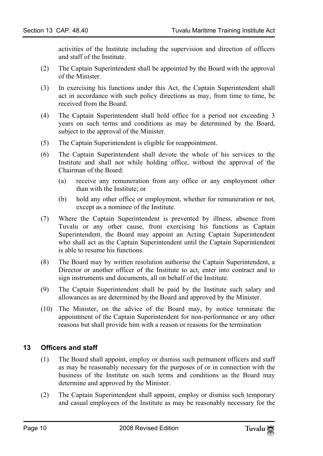activities of the Institute including the supervision and direction of officers and staff of the Institute.

- (2) The Captain Superintendent shall be appointed by the Board with the approval of the Minister.
- (3) In exercising his functions under this Act, the Captain Superintendent shall act in accordance with such policy directions as may, from time to time, be received from the Board.
- (4) The Captain Superintendent shall hold office for a period not exceeding 3 years on such terms and conditions as may be determined by the Board, subject to the approval of the Minister.
- (5) The Captain Superintendent is eligible for reappointment.
- (6) The Captain Superintendent shall devote the whole of his services to the Institute and shall not while holding office, without the approval of the Chairman of the Board:
	- (a) receive any remuneration from any office or any employment other than with the Institute; or
	- (b) hold any other office or employment, whether for remuneration or not, except as a nominee of the Institute.
- (7) Where the Captain Superintendent is prevented by illness, absence from Tuvalu or any other cause, from exercising his functions as Captain Superintendent, the Board may appoint an Acting Captain Superintendent who shall act as the Captain Superintendent until the Captain Superintendent is able to resume his functions.
- (8) The Board may by written resolution authorise the Captain Superintendent, a Director or another officer of the Institute to act, enter into contract and to sign instruments and documents, all on behalf of the Institute.
- (9) The Captain Superintendent shall be paid by the Institute such salary and allowances as are determined by the Board and approved by the Minister.
- <span id="page-9-0"></span>(10) The Minister, on the advice of the Board may, by notice terminate the appointment of the Captain Superintendent for non-performance or any other reasons but shall provide him with a reason or reasons for the termination

#### **13 Officers and staff**

- (1) The Board shall appoint, employ or dismiss such permanent officers and staff as may be reasonably necessary for the purposes of or in connection with the business of the Institute on such terms and conditions as the Board may determine and approved by the Minister.
- (2) The Captain Superintendent shall appoint, employ or dismiss such temporary and casual employees of the Institute as may be reasonably necessary for the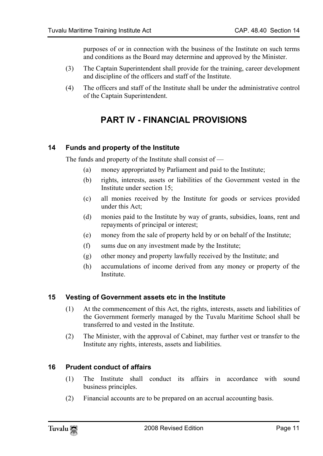purposes of or in connection with the business of the Institute on such terms and conditions as the Board may determine and approved by the Minister.

- (3) The Captain Superintendent shall provide for the training, career development and discipline of the officers and staff of the Institute.
- (4) The officers and staff of the Institute shall be under the administrative control of the Captain Superintendent.

## <span id="page-10-1"></span><span id="page-10-0"></span>**PART IV - FINANCIAL PROVISIONS**

#### **14 Funds and property of the Institute**

The funds and property of the Institute shall consist of —

- (a) money appropriated by Parliament and paid to the Institute;
- (b) rights, interests, assets or liabilities of the Government vested in the Institute under section 15;
- (c) all monies received by the Institute for goods or services provided under this Act;
- (d) monies paid to the Institute by way of grants, subsidies, loans, rent and repayments of principal or interest;
- (e) money from the sale of property held by or on behalf of the Institute;
- (f) sums due on any investment made by the Institute;
- <span id="page-10-2"></span>(g) other money and property lawfully received by the Institute; and
- (h) accumulations of income derived from any money or property of the Institute.

#### **15 Vesting of Government assets etc in the Institute**

- (1) At the commencement of this Act, the rights, interests, assets and liabilities of the Government formerly managed by the Tuvalu Maritime School shall be transferred to and vested in the Institute.
- <span id="page-10-3"></span>(2) The Minister, with the approval of Cabinet, may further vest or transfer to the Institute any rights, interests, assets and liabilities.

#### **16 Prudent conduct of affairs**

- (1) The Institute shall conduct its affairs in accordance with sound business principles.
- (2) Financial accounts are to be prepared on an accrual accounting basis.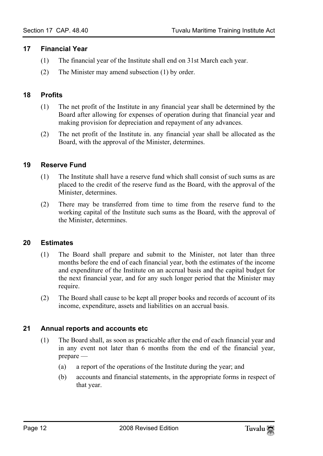#### <span id="page-11-0"></span>**17 Financial Year**

- <span id="page-11-1"></span>(1) The financial year of the Institute shall end on 31st March each year.
- (2) The Minister may amend subsection (1) by order.

#### **18 Profits**

- (1) The net profit of the Institute in any financial year shall be determined by the Board after allowing for expenses of operation during that financial year and making provision for depreciation and repayment of any advances.
- <span id="page-11-2"></span>(2) The net profit of the Institute in. any financial year shall be allocated as the Board, with the approval of the Minister, determines.

#### **19 Reserve Fund**

- (1) The Institute shall have a reserve fund which shall consist of such sums as are placed to the credit of the reserve fund as the Board, with the approval of the Minister, determines.
- <span id="page-11-3"></span>(2) There may be transferred from time to time from the reserve fund to the working capital of the Institute such sums as the Board, with the approval of the Minister, determines.

#### **20 Estimates**

- (1) The Board shall prepare and submit to the Minister, not later than three months before the end of each financial year, both the estimates of the income and expenditure of the Institute on an accrual basis and the capital budget for the next financial year, and for any such longer period that the Minister may require.
- <span id="page-11-4"></span>(2) The Board shall cause to be kept all proper books and records of account of its income, expenditure, assets and liabilities on an accrual basis.

#### **21 Annual reports and accounts etc**

- (1) The Board shall, as soon as practicable after the end of each financial year and in any event not later than 6 months from the end of the financial year, prepare —
	- (a) a report of the operations of the Institute during the year; and
	- (b) accounts and financial statements, in the appropriate forms in respect of that year.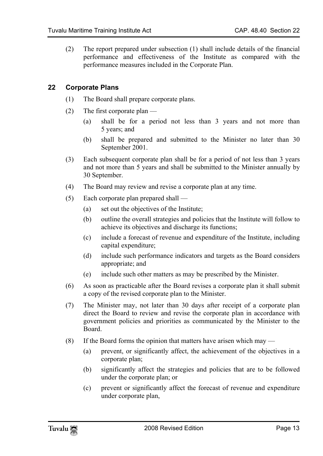<span id="page-12-0"></span>(2) The report prepared under subsection (1) shall include details of the financial performance and effectiveness of the Institute as compared with the performance measures included in the Corporate Plan.

#### **22 Corporate Plans**

- (1) The Board shall prepare corporate plans.
- (2) The first corporate plan
	- (a) shall be for a period not less than 3 years and not more than 5 years; and
	- (b) shall be prepared and submitted to the Minister no later than 30 September 2001.
- (3) Each subsequent corporate plan shall be for a period of not less than 3 years and not more than 5 years and shall be submitted to the Minister annually by 30 September.
- (4) The Board may review and revise a corporate plan at any time.
- (5) Each corporate plan prepared shall
	- (a) set out the objectives of the Institute;
	- (b) outline the overall strategies and policies that the Institute will follow to achieve its objectives and discharge its functions;
	- (c) include a forecast of revenue and expenditure of the Institute, including capital expenditure;
	- (d) include such performance indicators and targets as the Board considers appropriate; and
	- (e) include such other matters as may be prescribed by the Minister.
- (6) As soon as practicable after the Board revises a corporate plan it shall submit a copy of the revised corporate plan to the Minister.
- (7) The Minister may, not later than 30 days after receipt of a corporate plan direct the Board to review and revise the corporate plan in accordance with government policies and priorities as communicated by the Minister to the Board.
- (8) If the Board forms the opinion that matters have arisen which may
	- (a) prevent, or significantly affect, the achievement of the objectives in a corporate plan;
	- (b) significantly affect the strategies and policies that are to be followed under the corporate plan; or
	- (c) prevent or significantly affect the forecast of revenue and expenditure under corporate plan,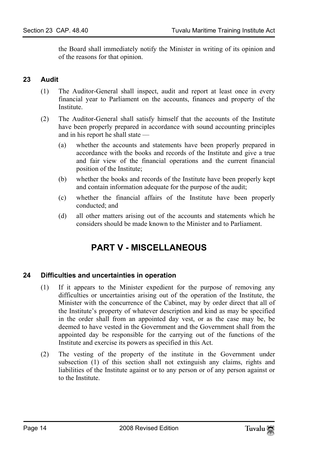the Board shall immediately notify the Minister in writing of its opinion and of the reasons for that opinion.

#### **23 Audit**

- (1) The Auditor-General shall inspect, audit and report at least once in every financial year to Parliament on the accounts, finances and property of the **Institute**
- (2) The Auditor-General shall satisfy himself that the accounts of the Institute have been properly prepared in accordance with sound accounting principles and in his report he shall state —
	- (a) whether the accounts and statements have been properly prepared in accordance with the books and records of the Institute and give a true and fair view of the financial operations and the current financial position of the Institute;
	- (b) whether the books and records of the Institute have been properly kept and contain information adequate for the purpose of the audit;
	- (c) whether the financial affairs of the Institute have been properly conducted; and
	- (d) all other matters arising out of the accounts and statements which he considers should be made known to the Minister and to Parliament.

## <span id="page-13-1"></span><span id="page-13-0"></span>**PART V - MISCELLANEOUS**

#### **24 Difficulties and uncertainties in operation**

- (1) If it appears to the Minister expedient for the purpose of removing any difficulties or uncertainties arising out of the operation of the Institute, the Minister with the concurrence of the Cabinet, may by order direct that all of the Institute's property of whatever description and kind as may be specified in the order shall from an appointed day vest, or as the case may be, be deemed to have vested in the Government and the Government shall from the appointed day be responsible for the carrying out of the functions of the Institute and exercise its powers as specified in this Act.
- (2) The vesting of the property of the institute in the Government under subsection (1) of this section shall not extinguish any claims, rights and liabilities of the Institute against or to any person or of any person against or to the Institute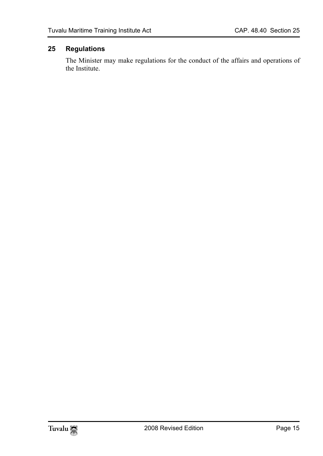### **25 Regulations**

<span id="page-14-0"></span>The Minister may make regulations for the conduct of the affairs and operations of the Institute.